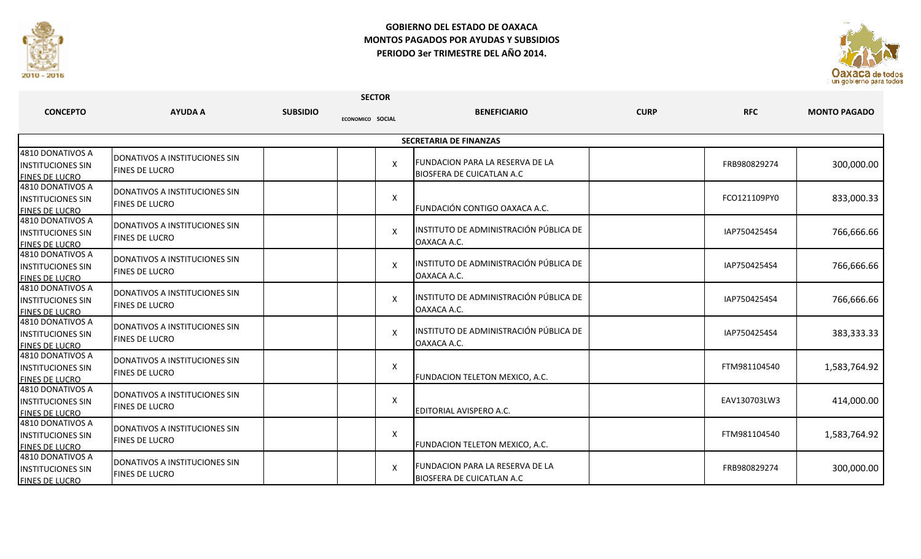

## **GOBIERNO DEL ESTADO DE OAXACA MONTOS PAGADOS POR AYUDAS Y SUBSIDIOS PERIODO 3er TRIMESTRE DEL AÑO 2014.**



| <b>SECTOR</b>                                                         |                                                               |                 |                           |                                                                             |             |              |                     |  |  |  |
|-----------------------------------------------------------------------|---------------------------------------------------------------|-----------------|---------------------------|-----------------------------------------------------------------------------|-------------|--------------|---------------------|--|--|--|
| <b>CONCEPTO</b>                                                       | <b>AYUDA A</b>                                                | <b>SUBSIDIO</b> | ECONOMICO SOCIAL          | <b>BENEFICIARIO</b>                                                         | <b>CURP</b> | <b>RFC</b>   | <b>MONTO PAGADO</b> |  |  |  |
| <b>SECRETARIA DE FINANZAS</b>                                         |                                                               |                 |                           |                                                                             |             |              |                     |  |  |  |
| 4810 DONATIVOS A<br><b>INSTITUCIONES SIN</b><br><b>FINES DE LUCRO</b> | <b>DONATIVOS A INSTITUCIONES SIN</b><br><b>FINES DE LUCRO</b> |                 | X                         | <b>FUNDACION PARA LA RESERVA DE LA</b><br>BIOSFERA DE CUICATLAN A.C         |             | FRB980829274 | 300,000.00          |  |  |  |
| 4810 DONATIVOS A<br><b>INSTITUCIONES SIN</b><br><b>FINES DE LUCRO</b> | DONATIVOS A INSTITUCIONES SIN<br><b>FINES DE LUCRO</b>        |                 | X                         | FUNDACIÓN CONTIGO OAXACA A.C.                                               |             | FCO121109PY0 | 833,000.33          |  |  |  |
| 4810 DONATIVOS A<br><b>INSTITUCIONES SIN</b><br><b>FINES DE LUCRO</b> | DONATIVOS A INSTITUCIONES SIN<br><b>FINES DE LUCRO</b>        |                 | $\boldsymbol{\mathsf{X}}$ | INSTITUTO DE ADMINISTRACIÓN PÚBLICA DE<br>OAXACA A.C.                       |             | IAP7504254S4 | 766,666.66          |  |  |  |
| 4810 DONATIVOS A<br><b>INSTITUCIONES SIN</b><br><b>FINES DE LUCRO</b> | DONATIVOS A INSTITUCIONES SIN<br><b>FINES DE LUCRO</b>        |                 | $\mathsf{X}$              | INSTITUTO DE ADMINISTRACIÓN PÚBLICA DE<br>OAXACA A.C.                       |             | IAP7504254S4 | 766,666.66          |  |  |  |
| 4810 DONATIVOS A<br><b>INSTITUCIONES SIN</b><br><b>FINES DE LUCRO</b> | DONATIVOS A INSTITUCIONES SIN<br><b>FINES DE LUCRO</b>        |                 | $\boldsymbol{\mathsf{X}}$ | INSTITUTO DE ADMINISTRACIÓN PÚBLICA DE<br>OAXACA A.C.                       |             | IAP7504254S4 | 766,666.66          |  |  |  |
| 4810 DONATIVOS A<br><b>INSTITUCIONES SIN</b><br><b>FINES DE LUCRO</b> | DONATIVOS A INSTITUCIONES SIN<br>FINES DE LUCRO               |                 | $\times$                  | INSTITUTO DE ADMINISTRACIÓN PÚBLICA DE<br>OAXACA A.C.                       |             | IAP7504254S4 | 383,333.33          |  |  |  |
| 4810 DONATIVOS A<br><b>INSTITUCIONES SIN</b><br><b>FINES DE LUCRO</b> | DONATIVOS A INSTITUCIONES SIN<br><b>FINES DE LUCRO</b>        |                 | Χ                         | FUNDACION TELETON MEXICO, A.C.                                              |             | FTM981104540 | 1,583,764.92        |  |  |  |
| 4810 DONATIVOS A<br><b>INSTITUCIONES SIN</b><br><b>FINES DE LUCRO</b> | <b>DONATIVOS A INSTITUCIONES SIN</b><br><b>FINES DE LUCRO</b> |                 | X                         | EDITORIAL AVISPERO A.C.                                                     |             | EAV130703LW3 | 414,000.00          |  |  |  |
| 4810 DONATIVOS A<br><b>INSTITUCIONES SIN</b><br><b>FINES DE LUCRO</b> | DONATIVOS A INSTITUCIONES SIN<br><b>FINES DE LUCRO</b>        |                 | $\boldsymbol{\mathsf{X}}$ | FUNDACION TELETON MEXICO, A.C.                                              |             | FTM981104540 | 1,583,764.92        |  |  |  |
| 4810 DONATIVOS A<br><b>INSTITUCIONES SIN</b><br><b>FINES DE LUCRO</b> | <b>DONATIVOS A INSTITUCIONES SIN</b><br><b>FINES DE LUCRO</b> |                 | $\mathsf{X}$              | <b>FUNDACION PARA LA RESERVA DE LA</b><br><b>BIOSFERA DE CUICATLAN A.C.</b> |             | FRB980829274 | 300,000.00          |  |  |  |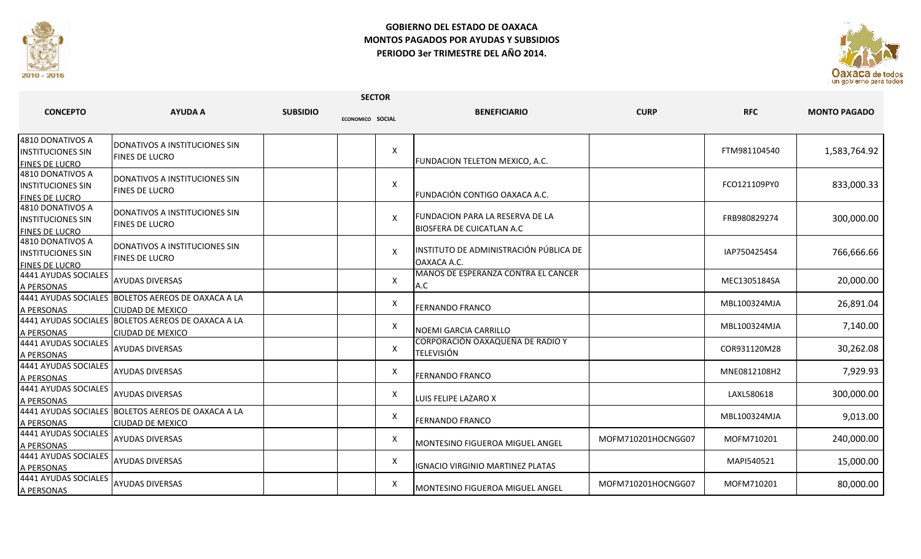

## **GOBIERNO DEL ESTADO DE OAXACA MONTOS PAGADOS POR AYUDAS Y SUBSIDIOS PERIODO 3er TRIMESTRE DEL AÑO 2014.**



| <b>SECTOR</b>                                                         |                                                                               |                 |                  |   |                                                               |                    |              |                     |
|-----------------------------------------------------------------------|-------------------------------------------------------------------------------|-----------------|------------------|---|---------------------------------------------------------------|--------------------|--------------|---------------------|
| <b>CONCEPTO</b>                                                       | <b>AYUDA A</b>                                                                | <b>SUBSIDIO</b> | ECONOMICO SOCIAL |   | <b>BENEFICIARIO</b>                                           | <b>CURP</b>        | <b>RFC</b>   | <b>MONTO PAGADO</b> |
| 4810 DONATIVOS A<br><b>INSTITUCIONES SIN</b><br><b>FINES DE LUCRO</b> | <b>I</b> DONATIVOS A INSTITUCIONES SIN<br><b>FINES DE LUCRO</b>               |                 |                  | X | <b>FUNDACION TELETON MEXICO, A.C.</b>                         |                    | FTM981104540 | 1,583,764.92        |
| 4810 DONATIVOS A<br><b>INSTITUCIONES SIN</b><br><b>FINES DE LUCRO</b> | <b>I</b> DONATIVOS A INSTITUCIONES SIN<br><b>FINES DE LUCRO</b>               |                 |                  | X | FUNDACIÓN CONTIGO OAXACA A.C.                                 |                    | FCO121109PY0 | 833,000.33          |
| 4810 DONATIVOS A<br><b>INSTITUCIONES SIN</b><br><b>FINES DE LUCRO</b> | <b>I</b> DONATIVOS A INSTITUCIONES SIN<br><b>FINES DE LUCRO</b>               |                 |                  | X | lFUNDACION PARA LA RESERVA DE LA<br>BIOSFERA DE CUICATLAN A.C |                    | FRB980829274 | 300,000.00          |
| 4810 DONATIVOS A<br><b>IINSTITUCIONES SIN</b><br>FINES DE LUCRO       | <b>I</b> DONATIVOS A INSTITUCIONES SIN<br><b>FINES DE LUCRO</b>               |                 |                  | X | INSTITUTO DE ADMINISTRACIÓN PÚBLICA DE<br>OAXACA A.C.         |                    | IAP7504254S4 | 766,666.66          |
| 4441 AYUDAS SOCIALES<br>A PERSONAS                                    | <b>AYUDAS DIVERSAS</b>                                                        |                 |                  | X | MANOS DE ESPERANZA CONTRA EL CANCER<br>A.C                    |                    | MEC1305184SA | 20,000.00           |
| A PERSONAS                                                            | 4441 AYUDAS SOCIALES BOLETOS AEREOS DE OAXACA A LA<br><b>CIUDAD DE MEXICO</b> |                 |                  | X | <b>FERNANDO FRANCO</b>                                        |                    | MBL100324MJA | 26,891.04           |
| A PERSONAS                                                            | 4441 AYUDAS SOCIALES BOLETOS AEREOS DE OAXACA A LA<br><b>CIUDAD DE MEXICO</b> |                 |                  | X | NOEMI GARCIA CARRILLO                                         |                    | MBL100324MJA | 7,140.00            |
| 4441 AYUDAS SOCIALES<br>A PERSONAS                                    | <b>AYUDAS DIVERSAS</b>                                                        |                 |                  | X | CORPORACIÓN OAXAQUEÑA DE RADIO Y<br><b>TELEVISIÓN</b>         |                    | COR931120M28 | 30,262.08           |
| 4441 AYUDAS SOCIALES<br>A PERSONAS                                    | <b>AYUDAS DIVERSAS</b>                                                        |                 |                  | X | <b>FERNANDO FRANCO</b>                                        |                    | MNE0812108H2 | 7,929.93            |
| 4441 AYUDAS SOCIALES<br>A PERSONAS                                    | <b>AYUDAS DIVERSAS</b>                                                        |                 |                  | X | LUIS FELIPE LAZARO X                                          |                    | LAXL580618   | 300,000.00          |
| A PERSONAS                                                            | 4441 AYUDAS SOCIALES BOLETOS AEREOS DE OAXACA A LA<br><b>CIUDAD DE MEXICO</b> |                 |                  | X | <b>FERNANDO FRANCO</b>                                        |                    | MBL100324MJA | 9,013.00            |
| 4441 AYUDAS SOCIALES<br>A PERSONAS                                    | <b>AYUDAS DIVERSAS</b>                                                        |                 |                  | X | <b>MONTESINO FIGUEROA MIGUEL ANGEL</b>                        | MOFM710201HOCNGG07 | MOFM710201   | 240,000.00          |
| 4441 AYUDAS SOCIALES<br>A PERSONAS                                    | <b>AYUDAS DIVERSAS</b>                                                        |                 |                  | X | <b>IGNACIO VIRGINIO MARTINEZ PLATAS</b>                       |                    | MAPI540521   | 15,000.00           |
| 4441 AYUDAS SOCIALES<br>A PERSONAS                                    | <b>AYUDAS DIVERSAS</b>                                                        |                 |                  | X | MONTESINO FIGUEROA MIGUEL ANGEL                               | MOFM710201HOCNGG07 | MOFM710201   | 80,000.00           |